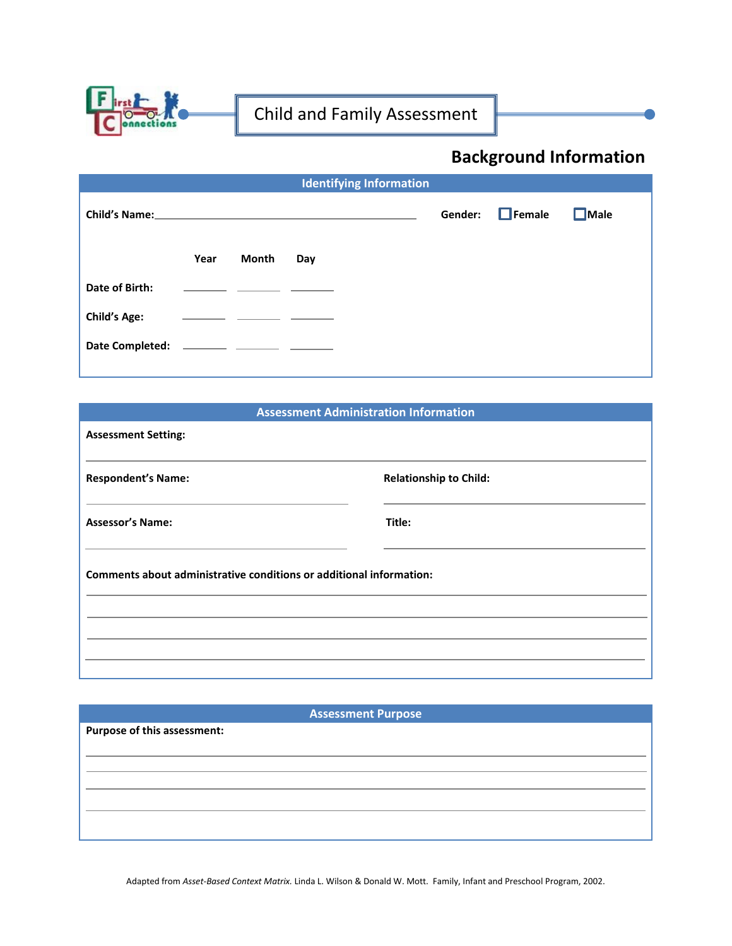

# **Background Information**

|                                            |      |                                                                                                                        | <b>Identifying Information</b> |         |               |             |
|--------------------------------------------|------|------------------------------------------------------------------------------------------------------------------------|--------------------------------|---------|---------------|-------------|
|                                            |      |                                                                                                                        |                                | Gender: | $\Box$ Female | $\Box$ Male |
|                                            | Year | <b>Month</b>                                                                                                           | Day                            |         |               |             |
| Date of Birth:                             |      | <u> 1989 - Jan Barbara Barbara, maso a popular e</u>                                                                   |                                |         |               |             |
| <b>Child's Age:</b>                        |      | <u> 1989 - Andrea State Barbara, política establecente de la propiedad de la propiedad de la propiedad de la propi</u> |                                |         |               |             |
| Date Completed: _________ ________ _______ |      |                                                                                                                        |                                |         |               |             |

|                                                                     | <b>Assessment Administration Information</b> |
|---------------------------------------------------------------------|----------------------------------------------|
| <b>Assessment Setting:</b>                                          |                                              |
| <b>Respondent's Name:</b>                                           | <b>Relationship to Child:</b>                |
| <b>Assessor's Name:</b>                                             | Title:                                       |
| Comments about administrative conditions or additional information: |                                              |
|                                                                     |                                              |
|                                                                     |                                              |

| <b>Assessment Purpose</b>   |  |  |  |  |
|-----------------------------|--|--|--|--|
| Purpose of this assessment: |  |  |  |  |
|                             |  |  |  |  |
|                             |  |  |  |  |
|                             |  |  |  |  |
|                             |  |  |  |  |
|                             |  |  |  |  |

Adapted from *Asset-Based Context Matrix.* Linda L. Wilson & Donald W. Mott. Family, Infant and Preschool Program, 2002.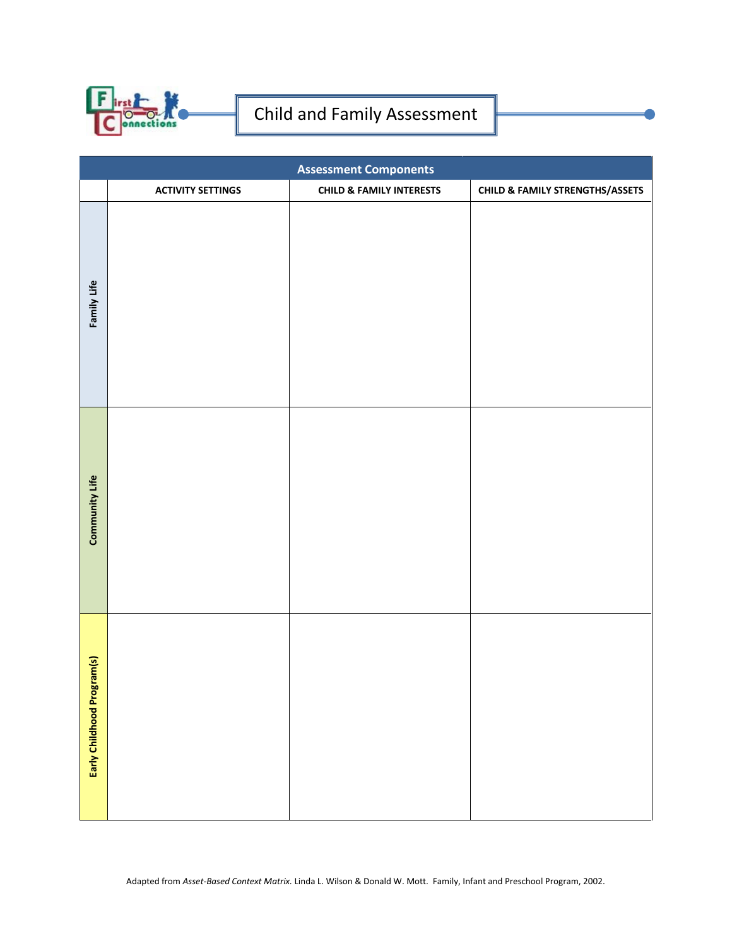

| <b>Assessment Components</b> |                          |                                     |                                            |  |
|------------------------------|--------------------------|-------------------------------------|--------------------------------------------|--|
|                              | <b>ACTIVITY SETTINGS</b> | <b>CHILD &amp; FAMILY INTERESTS</b> | <b>CHILD &amp; FAMILY STRENGTHS/ASSETS</b> |  |
| Family Life                  |                          |                                     |                                            |  |
| Community Life               |                          |                                     |                                            |  |
| Early Childhood Program(s)   |                          |                                     |                                            |  |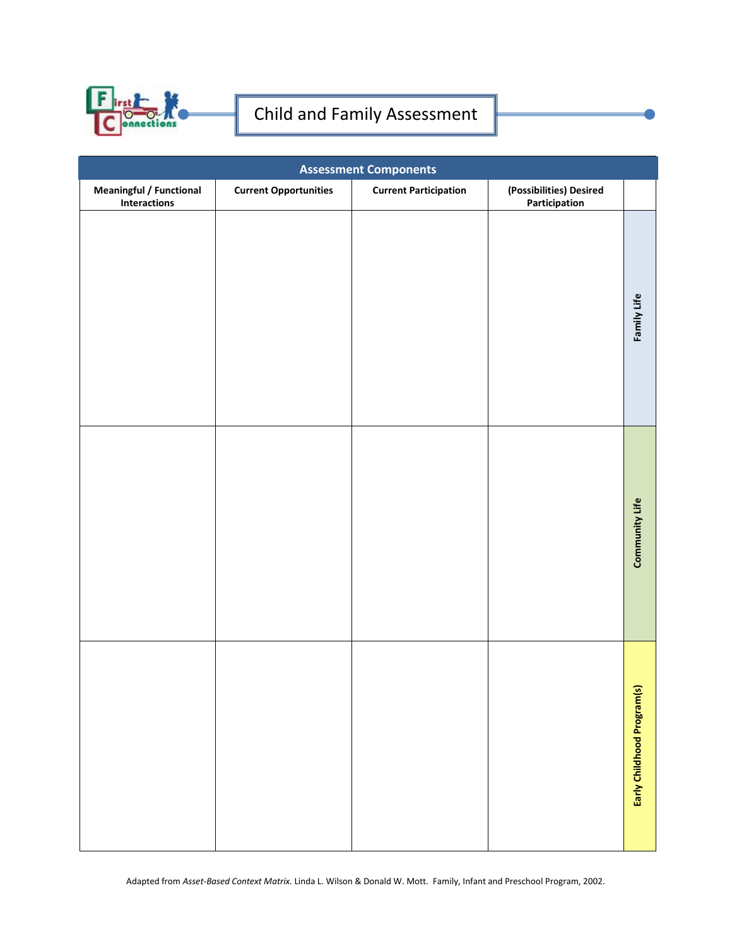

| <b>Assessment Components</b>                   |                              |                              |                                          |                                     |  |  |
|------------------------------------------------|------------------------------|------------------------------|------------------------------------------|-------------------------------------|--|--|
| Meaningful / Functional<br><b>Interactions</b> | <b>Current Opportunities</b> | <b>Current Participation</b> | (Possibilities) Desired<br>Participation |                                     |  |  |
|                                                |                              |                              |                                          | Family Life                         |  |  |
|                                                |                              |                              |                                          | Community Life                      |  |  |
|                                                |                              |                              |                                          | $\Omega$<br>Early Childhood Program |  |  |

Adapted from *Asset-Based Context Matrix.* Linda L. Wilson & Donald W. Mott. Family, Infant and Preschool Program, 2002.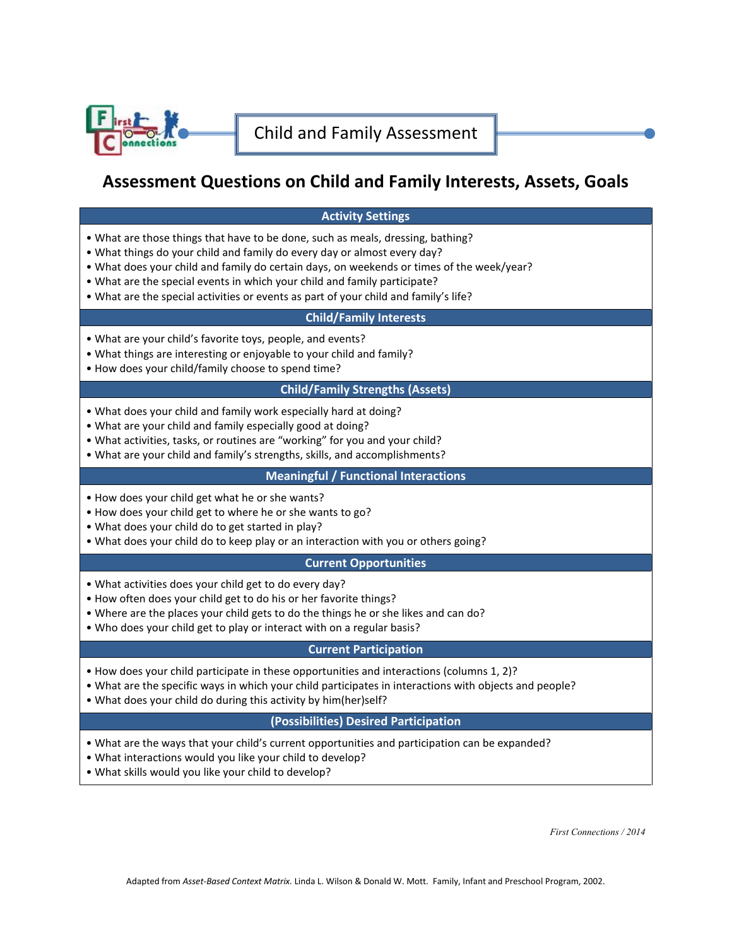

# **Assessment Questions on Child and Family Interests, Assets, Goals**

#### **Activity Settings**

- What are those things that have to be done, such as meals, dressing, bathing?
- What things do your child and family do every day or almost every day?
- What does your child and family do certain days, on weekends or times of the week/year?
- What are the special events in which your child and family participate?
- What are the special activities or events as part of your child and family's life?

## **Child/Family Interests**

- What are your child's favorite toys, people, and events?
- What things are interesting or enjoyable to your child and family?
- How does your child/family choose to spend time?

#### **Child/Family Strengths (Assets)**

- What does your child and family work especially hard at doing?
- What are your child and family especially good at doing?
- What activities, tasks, or routines are "working" for you and your child?
- What are your child and family's strengths, skills, and accomplishments?

# **Meaningful / Functional Interactions**

- How does your child get what he or she wants?
- How does your child get to where he or she wants to go?
- What does your child do to get started in play?
- What does your child do to keep play or an interaction with you or others going?

#### **Current Opportunities**

- What activities does your child get to do every day?
- How often does your child get to do his or her favorite things?
- Where are the places your child gets to do the things he or she likes and can do?
- Who does your child get to play or interact with on a regular basis?

#### **Current Participation**

- How does your child participate in these opportunities and interactions (columns 1, 2)?
- What are the specific ways in which your child participates in interactions with objects and people?
- What does your child do during this activity by him(her)self?

# **(Possibilities) Desired Participation**

- What are the ways that your child's current opportunities and participation can be expanded?
- What interactions would you like your child to develop?
- What skills would you like your child to develop?

*First Connections / 2014*